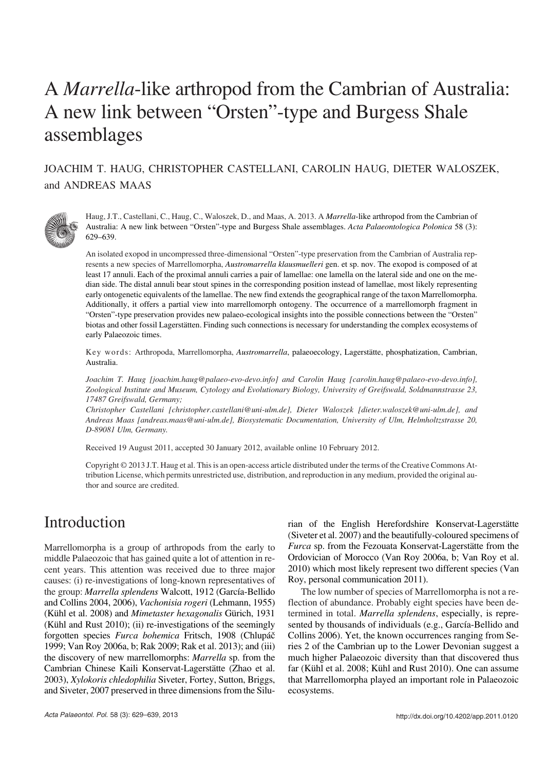# A *Marrella*−like arthropod from the Cambrian of Australia: A new link between "Orsten"−type and Burgess Shale assemblages

### JOACHIM T. HAUG, CHRISTOPHER CASTELLANI, CAROLIN HAUG, DIETER WALOSZEK, and ANDREAS MAAS



Haug, J.T., Castellani, C., Haug, C., Waloszek, D., and Maas, A. 2013. A *Marrella*−like arthropod from the Cambrian of Australia: A new link between "Orsten"−type and Burgess Shale assemblages. *Acta Palaeontologica Polonica* 58 (3): 629–639.

An isolated exopod in uncompressed three−dimensional "Orsten"−type preservation from the Cambrian of Australia rep− resents a new species of Marrellomorpha, *Austromarrella klausmuelleri* gen. et sp. nov. The exopod is composed of at least 17 annuli. Each of the proximal annuli carries a pair of lamellae: one lamella on the lateral side and one on the me− dian side. The distal annuli bear stout spines in the corresponding position instead of lamellae, most likely representing early ontogenetic equivalents of the lamellae. The new find extends the geographical range of the taxon Marrellomorpha. Additionally, it offers a partial view into marrellomorph ontogeny. The occurrence of a marrellomorph fragment in "Orsten"−type preservation provides new palaeo−ecological insights into the possible connections between the "Orsten" biotas and other fossil Lagerstätten. Finding such connections is necessary for understanding the complex ecosystems of early Palaeozoic times.

Key words: Arthropoda, Marrellomorpha, *Austromarrella*, palaeoecology, Lagerstätte, phosphatization, Cambrian, Australia.

*Joachim T. Haug [joachim.haug@palaeo−evo−devo.info] and Carolin Haug [carolin.haug@palaeo−evo−devo.info], Zoological Institute and Museum, Cytology and Evolutionary Biology, University of Greifswald, Soldmannstrasse 23, 17487 Greifswald, Germany;*

*Christopher Castellani [christopher.castellani@uni−ulm.de], Dieter Waloszek [dieter.waloszek@uni−ulm.de], and Andreas Maas [andreas.maas@uni−ulm.de], Biosystematic Documentation, University of Ulm, Helmholtzstrasse 20, D−89081 Ulm, Germany.*

Received 19 August 2011, accepted 30 January 2012, available online 10 February 2012.

Copyright © 2013 J.T. Haug et al. This is an open−access article distributed under the terms of the Creative Commons At− tribution License, which permits unrestricted use, distribution, and reproduction in any medium, provided the original au− thor and source are credited.

## Introduction

Marrellomorpha is a group of arthropods from the early to middle Palaeozoic that has gained quite a lot of attention in re− cent years. This attention was received due to three major causes: (i) re−investigations of long−known representatives of the group: *Marrella splendens* Walcott, 1912 (García−Bellido and Collins 2004, 2006), *Vachonisia rogeri* (Lehmann, 1955) (Kühl et al. 2008) and *Mimetaster hexagonalis* Gürich, 1931 (Kühl and Rust 2010); (ii) re−investigations of the seemingly forgotten species *Furca bohemica* Fritsch, 1908 (Chlupáč 1999; Van Roy 2006a, b; Rak 2009; Rak et al. 2013); and (iii) the discovery of new marrellomorphs: *Marrella* sp. from the Cambrian Chinese Kaili Konservat−Lagerstätte (Zhao et al. 2003), *Xylokoris chledophilia* Siveter, Fortey, Sutton, Briggs, and Siveter, 2007 preserved in three dimensions from the Silu− rian of the English Herefordshire Konservat−Lagerstätte (Siveter et al. 2007) and the beautifully−coloured specimens of *Furca* sp. from the Fezouata Konservat−Lagerstätte from the Ordovician of Morocco (Van Roy 2006a, b; Van Roy et al. 2010) which most likely represent two different species (Van Roy, personal communication 2011).

The low number of species of Marrellomorpha is not a re− flection of abundance. Probably eight species have been de− termined in total. *Marrella splendens*, especially, is repre− sented by thousands of individuals (e.g., García−Bellido and Collins 2006). Yet, the known occurrences ranging from Se− ries 2 of the Cambrian up to the Lower Devonian suggest a much higher Palaeozoic diversity than that discovered thus far (Kühl et al. 2008; Kühl and Rust 2010). One can assume that Marrellomorpha played an important role in Palaeozoic ecosystems.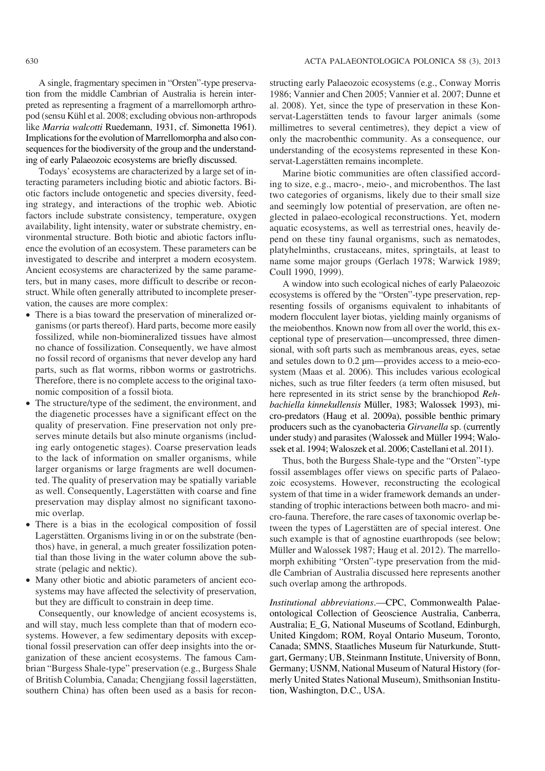A single, fragmentary specimen in "Orsten"−type preserva− tion from the middle Cambrian of Australia is herein inter− preted as representing a fragment of a marrellomorph arthro− pod (sensu Kühl et al. 2008; excluding obvious non−arthropods like *Marria walcotti* Ruedemann, 1931, cf. Simonetta 1961). Implications for the evolution of Marrellomorpha and also con− sequences for the biodiversity of the group and the understand− ing of early Palaeozoic ecosystems are briefly discussed.

Todays' ecosystems are characterized by a large set of in− teracting parameters including biotic and abiotic factors. Bi− otic factors include ontogenetic and species diversity, feed− ing strategy, and interactions of the trophic web. Abiotic factors include substrate consistency, temperature, oxygen availability, light intensity, water or substrate chemistry, en− vironmental structure. Both biotic and abiotic factors influ− ence the evolution of an ecosystem. These parameters can be investigated to describe and interpret a modern ecosystem. Ancient ecosystems are characterized by the same parame− ters, but in many cases, more difficult to describe or recon− struct. While often generally attributed to incomplete preser− vation, the causes are more complex:

- There is a bias toward the preservation of mineralized organisms (or parts thereof). Hard parts, become more easily fossilized, while non−biomineralized tissues have almost no chance of fossilization. Consequently, we have almost no fossil record of organisms that never develop any hard parts, such as flat worms, ribbon worms or gastrotrichs. Therefore, there is no complete access to the original taxo− nomic composition of a fossil biota.
- - The structure/type of the sediment, the environment, and the diagenetic processes have a significant effect on the quality of preservation. Fine preservation not only pre− serves minute details but also minute organisms (includ− ing early ontogenetic stages). Coarse preservation leads to the lack of information on smaller organisms, while larger organisms or large fragments are well documen− ted. The quality of preservation may be spatially variable as well. Consequently, Lagerstätten with coarse and fine preservation may display almost no significant taxono− mic overlap.
- There is a bias in the ecological composition of fossil Lagerstätten. Organisms living in or on the substrate (ben− thos) have, in general, a much greater fossilization poten− tial than those living in the water column above the sub− strate (pelagic and nektic).
- Many other biotic and abiotic parameters of ancient eco− systems may have affected the selectivity of preservation, but they are difficult to constrain in deep time.

Consequently, our knowledge of ancient ecosystems is, and will stay, much less complete than that of modern eco− systems. However, a few sedimentary deposits with excep− tional fossil preservation can offer deep insights into the or− ganization of these ancient ecosystems. The famous Cam− brian "Burgess Shale−type" preservation (e.g., Burgess Shale of British Columbia, Canada; Chengjiang fossil lagerstätten, southern China) has often been used as a basis for recon− structing early Palaeozoic ecosystems (e.g., Conway Morris 1986; Vannier and Chen 2005; Vannier et al. 2007; Dunne et al. 2008). Yet, since the type of preservation in these Kon− servat−Lagerstätten tends to favour larger animals (some millimetres to several centimetres), they depict a view of only the macrobenthic community. As a consequence, our understanding of the ecosystems represented in these Kon− servat−Lagerstätten remains incomplete.

Marine biotic communities are often classified accord− ing to size, e.g., macro−, meio−, and microbenthos. The last two categories of organisms, likely due to their small size and seemingly low potential of preservation, are often ne− glected in palaeo−ecological reconstructions. Yet, modern aquatic ecosystems, as well as terrestrial ones, heavily de− pend on these tiny faunal organisms, such as nematodes, platyhelminths, crustaceans, mites, springtails, at least to name some major groups (Gerlach 1978; Warwick 1989; Coull 1990, 1999).

A window into such ecological niches of early Palaeozoic ecosystems is offered by the "Orsten"−type preservation, rep− resenting fossils of organisms equivalent to inhabitants of modern flocculent layer biotas, yielding mainly organisms of the meiobenthos. Known now from all over the world, this ex− ceptional type of preservation—uncompressed, three dimen− sional, with soft parts such as membranous areas, eyes, setae and setules down to 0.2 μm—provides access to a meio−eco− system (Maas et al. 2006). This includes various ecological niches, such as true filter feeders (a term often misused, but here represented in its strict sense by the branchiopod *Reh− bachiella kinnekullensis* Müller, 1983; Walossek 1993), mi− cro−predators (Haug et al. 2009a), possible benthic primary producers such as the cyanobacteria *Girvanella* sp. (currently under study) and parasites (Walossek and Müller 1994; Walo− ssek et al. 1994; Waloszek et al. 2006; Castellani et al. 2011).

Thus, both the Burgess Shale−type and the "Orsten"−type fossil assemblages offer views on specific parts of Palaeo− zoic ecosystems. However, reconstructing the ecological system of that time in a wider framework demands an under− standing of trophic interactions between both macro− and mi− cro−fauna. Therefore, the rare cases of taxonomic overlap be− tween the types of Lagerstätten are of special interest. One such example is that of agnostine euarthropods (see below; Müller and Walossek 1987; Haug et al. 2012). The marrello− morph exhibiting "Orsten"−type preservation from the mid− dle Cambrian of Australia discussed here represents another such overlap among the arthropods.

*Institutional abbreviations*.—CPC, Commonwealth Palae− ontological Collection of Geoscience Australia, Canberra, Australia; E\_G, National Museums of Scotland, Edinburgh, United Kingdom; ROM, Royal Ontario Museum, Toronto, Canada; SMNS, Staatliches Museum für Naturkunde, Stutt− gart, Germany; UB, Steinmann Institute, University of Bonn, Germany; USNM, National Museum of Natural History (for− merly United States National Museum), Smithsonian Institu− tion, Washington, D.C., USA.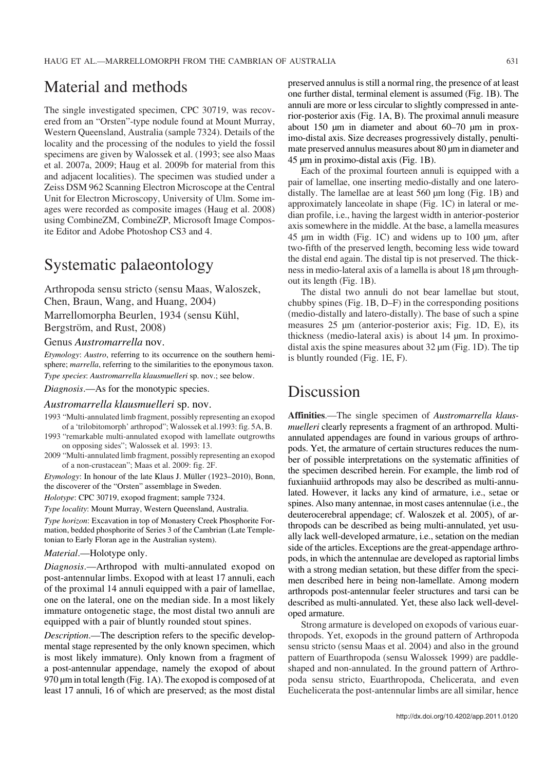### Material and methods

The single investigated specimen, CPC 30719, was recovered from an "Orsten"−type nodule found at Mount Murray, Western Queensland, Australia (sample 7324). Details of the locality and the processing of the nodules to yield the fossil specimens are given by Walossek et al. (1993; see also Maas et al. 2007a, 2009; Haug et al. 2009b for material from this and adjacent localities). The specimen was studied under a Zeiss DSM 962 Scanning Electron Microscope at the Central Unit for Electron Microscopy, University of Ulm. Some im− ages were recorded as composite images (Haug et al. 2008) using CombineZM, CombineZP, Microsoft Image Compos− ite Editor and Adobe Photoshop CS3 and 4.

### Systematic palaeontology

Arthropoda sensu stricto (sensu Maas, Waloszek, Chen, Braun, Wang, and Huang, 2004)

Marrellomorpha Beurlen, 1934 (sensu Kühl,

Bergström, and Rust, 2008)

#### Genus *Austromarrella* nov.

*Etymology*: *Austro*, referring to its occurrence on the southern hemi− sphere; *marrella*, referring to the similarities to the eponymous taxon. *Type species*: *Austromarrella klausmuelleri* sp. nov.; see below.

*Diagnosis*.—As for the monotypic species.

#### *Austromarrella klausmuelleri* sp. nov.

- 1993 "Multi−annulated limb fragment, possibly representing an exopod of a 'trilobitomorph' arthropod"; Walossek et al.1993: fig. 5A, B.
- 1993 "remarkable multi−annulated exopod with lamellate outgrowths on opposing sides"; Walossek et al. 1993: 13.
- 2009 "Multi−annulated limb fragment, possibly representing an exopod of a non−crustacean"; Maas et al. 2009: fig. 2F.

*Etymology*: In honour of the late Klaus J. Müller (1923–2010), Bonn, the discoverer of the "Orsten" assemblage in Sweden.

*Holotype*: CPC 30719, exopod fragment; sample 7324.

*Type locality*: Mount Murray, Western Queensland, Australia. *Type horizon*: Excavation in top of Monastery Creek Phosphorite For−

mation, bedded phosphorite of Series 3 of the Cambrian (Late Temple− tonian to Early Floran age in the Australian system).

#### *Material*.—Holotype only.

*Diagnosis*.—Arthropod with multi−annulated exopod on post−antennular limbs. Exopod with at least 17 annuli, each of the proximal 14 annuli equipped with a pair of lamellae, one on the lateral, one on the median side. In a most likely immature ontogenetic stage, the most distal two annuli are equipped with a pair of bluntly rounded stout spines.

*Description*.—The description refers to the specific develop− mental stage represented by the only known specimen, which is most likely immature). Only known from a fragment of a post−antennular appendage, namely the exopod of about 970 μm in total length (Fig. 1A). The exopod is composed of at least 17 annuli, 16 of which are preserved; as the most distal preserved annulus is still a normal ring, the presence of at least one further distal, terminal element is assumed (Fig. 1B). The annuli are more or less circular to slightly compressed in ante− rior−posterior axis (Fig. 1A, B). The proximal annuli measure about 150 μm in diameter and about 60–70 μm in prox− imo−distal axis. Size decreases progressively distally, penulti− mate preserved annulus measures about 80 μm in diameter and 45 μm in proximo−distal axis (Fig. 1B).

Each of the proximal fourteen annuli is equipped with a pair of lamellae, one inserting medio−distally and one latero− distally. The lamellae are at least 560 μm long (Fig. 1B) and approximately lanceolate in shape (Fig. 1C) in lateral or me− dian profile, i.e., having the largest width in anterior−posterior axis somewhere in the middle. At the base, a lamella measures 45 μm in width (Fig. 1C) and widens up to 100 μm, after two−fifth of the preserved length, becoming less wide toward the distal end again. The distal tip is not preserved. The thick− ness in medio-lateral axis of a lamella is about 18 μm through– out its length (Fig. 1B).

The distal two annuli do not bear lamellae but stout, chubby spines (Fig. 1B, D–F) in the corresponding positions (medio−distally and latero−distally). The base of such a spine measures 25 μm (anterior−posterior axis; Fig. 1D, E), its thickness (medio−lateral axis) is about 14 μm. In proximo− distal axis the spine measures about 32 μm (Fig. 1D). The tip is bluntly rounded (Fig. 1E, F).

### Discussion

**Affinities**.—The single specimen of *Austromarrella klaus− muelleri* clearly represents a fragment of an arthropod. Multiannulated appendages are found in various groups of arthro− pods. Yet, the armature of certain structures reduces the num− ber of possible interpretations on the systematic affinities of the specimen described herein. For example, the limb rod of fuxianhuiid arthropods may also be described as multi−annu− lated. However, it lacks any kind of armature, i.e., setae or spines. Also many antennae, in most cases antennulae (i.e., the deuterocerebral appendage; cf. Waloszek et al. 2005), of ar− thropods can be described as being multi−annulated, yet usu− ally lack well−developed armature, i.e., setation on the median side of the articles. Exceptions are the great−appendage arthro− pods, in which the antennulae are developed as raptorial limbs with a strong median setation, but these differ from the speci− men described here in being non−lamellate. Among modern arthropods post−antennular feeler structures and tarsi can be described as multi−annulated. Yet, these also lack well−devel− oped armature.

Strong armature is developed on exopods of various euar− thropods. Yet, exopods in the ground pattern of Arthropoda sensu stricto (sensu Maas et al. 2004) and also in the ground pattern of Euarthropoda (sensu Walossek 1999) are paddle− shaped and non−annulated. In the ground pattern of Arthro− poda sensu stricto, Euarthropoda, Chelicerata, and even Euchelicerata the post−antennular limbs are all similar, hence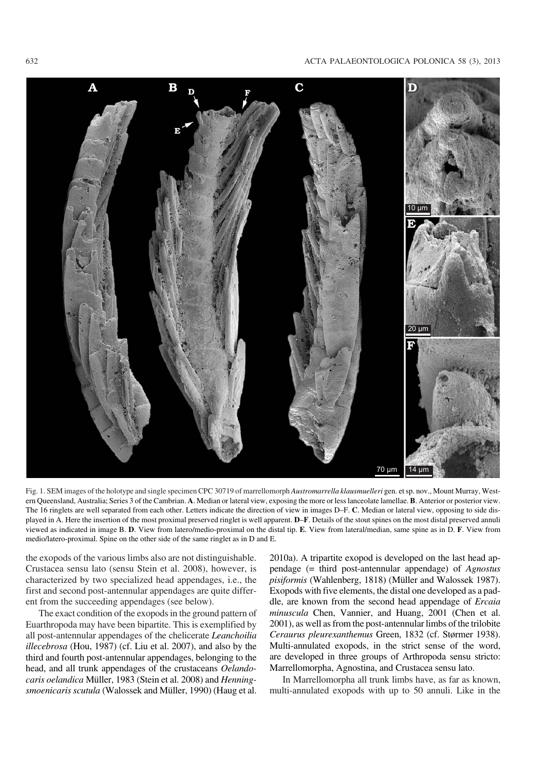#### 632 ACTA PALAEONTOLOGICA POLONICA 58 (3), 2013



Fig. 1. SEM images of the holotype and single specimen CPC 30719 of marrellomorph *Austromarrella klausmuelleri* gen. et sp. nov., Mount Murray, West− ern Queensland, Australia; Series 3 of the Cambrian. **A**. Median or lateral view, exposing the more or less lanceolate lamellae. **B**. Anterior or posterior view. The 16 ringlets are well separated from each other. Letters indicate the direction of view in images D–F. **C**. Median or lateral view, opposing to side dis− played in A. Here the insertion of the most proximal preserved ringlet is well apparent. **D**–**F**. Details of the stout spines on the most distal preserved annuli viewed as indicated in image B. **D**. View from latero/medio−proximal on the distal tip. **E**. View from lateral/median, same spine as in D. **F**. View from medio/latero−proximal. Spine on the other side of the same ringlet as in D and E.

the exopods of the various limbs also are not distinguishable. Crustacea sensu lato (sensu Stein et al. 2008), however, is characterized by two specialized head appendages, i.e., the first and second post−antennular appendages are quite differ− ent from the succeeding appendages (see below).

The exact condition of the exopods in the ground pattern of Euarthropoda may have been bipartite. This is exemplified by all post−antennular appendages of the chelicerate *Leanchoilia illecebrosa* (Hou, 1987) (cf. Liu et al. 2007), and also by the third and fourth post−antennular appendages, belonging to the head, and all trunk appendages of the crustaceans *Oelando− caris oelandica* Müller, 1983 (Stein et al. 2008) and *Henning− smoenicaris scutula* (Walossek and Müller, 1990) (Haug et al. 2010a). A tripartite exopod is developed on the last head ap− pendage (= third post−antennular appendage) of *Agnostus pisiformis* (Wahlenberg, 1818) (Müller and Walossek 1987). Exopods with five elements, the distal one developed as a pad− dle, are known from the second head appendage of *Ercaia minuscula* Chen, Vannier, and Huang, 2001 (Chen et al. 2001), as well as from the post−antennular limbs of the trilobite *Ceraurus pleurexanthemus* Green, 1832 (cf. Størmer 1938). Multi−annulated exopods, in the strict sense of the word, are developed in three groups of Arthropoda sensu stricto: Marrellomorpha, Agnostina, and Crustacea sensu lato.

In Marrellomorpha all trunk limbs have, as far as known, multi−annulated exopods with up to 50 annuli. Like in the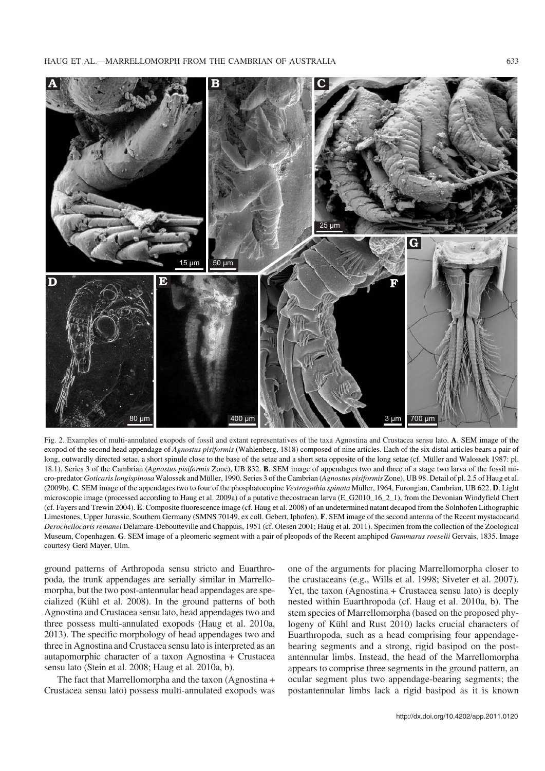

Fig. 2. Examples of multi−annulated exopods of fossil and extant representatives of the taxa Agnostina and Crustacea sensu lato. **A**. SEM image of the exopod of the second head appendage of *Agnostus pisiformis* (Wahlenberg, 1818) composed of nine articles. Each of the six distal articles bears a pair of long, outwardly directed setae, a short spinule close to the base of the setae and a short seta opposite of the long setae (cf. Müller and Walossek 1987: pl. 18.1). Series 3 of the Cambrian (*Agnostus pisiformis* Zone), UB 832. **B**. SEM image of appendages two and three of a stage two larva of the fossil mi− cro−predator *Goticaris longispinosa* Walossek and Müller, 1990. Series 3 of the Cambrian (*Agnostus pisiformis* Zone), UB 98. Detail of pl. 2.5 of Haug et al. (2009b). **C**. SEM image of the appendages two to four of the phosphatocopine *Vestrogothia spinata* Müller, 1964, Furongian, Cambrian, UB 622. **D**. Light microscopic image (processed according to Haug et al. 2009a) of a putative thecostracan larva (E\_G2010\_16\_2\_1), from the Devonian Windyfield Chert (cf. Fayers and Trewin 2004). **E**. Composite fluorescence image (cf. Haug et al. 2008) of an undetermined natant decapod from the Solnhofen Lithographic Limestones, Upper Jurassic, Southern Germany (SMNS 70149, ex coll. Gebert, Iphofen). **F**. SEM image of the second antenna of the Recent mystacocarid *Derocheilocaris remanei* Delamare−Deboutteville and Chappuis, 1951 (cf. Olesen 2001; Haug et al. 2011). Specimen from the collection of the Zoological Museum, Copenhagen. **G**. SEM image of a pleomeric segment with a pair of pleopods of the Recent amphipod *Gammarus roeselii* Gervais, 1835. Image courtesy Gerd Mayer, Ulm.

ground patterns of Arthropoda sensu stricto and Euarthro− poda, the trunk appendages are serially similar in Marrello− morpha, but the two post−antennular head appendages are spe− cialized (Kühl et al. 2008). In the ground patterns of both Agnostina and Crustacea sensu lato, head appendages two and three possess multi−annulated exopods (Haug et al. 2010a, 2013). The specific morphology of head appendages two and three in Agnostina and Crustacea sensu lato is interpreted as an autapomorphic character of a taxon Agnostina + Crustacea sensu lato (Stein et al. 2008; Haug et al. 2010a, b).

The fact that Marrellomorpha and the taxon (Agnostina + Crustacea sensu lato) possess multi−annulated exopods was one of the arguments for placing Marrellomorpha closer to the crustaceans (e.g., Wills et al. 1998; Siveter et al. 2007). Yet, the taxon (Agnostina + Crustacea sensu lato) is deeply nested within Euarthropoda (cf. Haug et al. 2010a, b). The stem species of Marrellomorpha (based on the proposed phy− logeny of Kühl and Rust 2010) lacks crucial characters of Euarthropoda, such as a head comprising four appendage− bearing segments and a strong, rigid basipod on the post− antennular limbs. Instead, the head of the Marrellomorpha appears to comprise three segments in the ground pattern, an ocular segment plus two appendage−bearing segments; the postantennular limbs lack a rigid basipod as it is known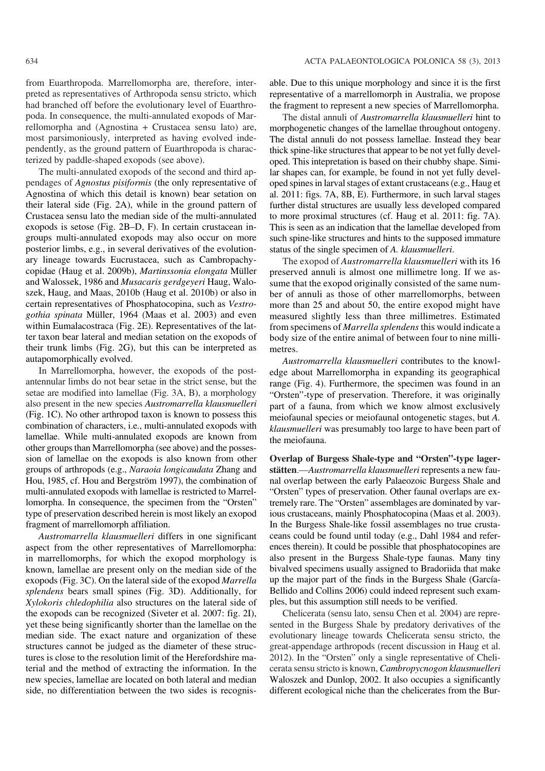from Euarthropoda. Marrellomorpha are, therefore, inter− preted as representatives of Arthropoda sensu stricto, which had branched off before the evolutionary level of Euarthro− poda. In consequence, the multi−annulated exopods of Mar− rellomorpha and (Agnostina + Crustacea sensu lato) are, most parsimoniously, interpreted as having evolved inde− pendently, as the ground pattern of Euarthropoda is charac− terized by paddle−shaped exopods (see above).

The multi-annulated exopods of the second and third appendages of *Agnostus pisiformis* (the only representative of Agnostina of which this detail is known) bear setation on their lateral side (Fig. 2A), while in the ground pattern of Crustacea sensu lato the median side of the multi−annulated exopods is setose (Fig. 2B–D, F). In certain crustacean in− groups multi−annulated exopods may also occur on more posterior limbs, e.g., in several derivatives of the evolution− ary lineage towards Eucrustacea, such as Cambropachy− copidae (Haug et al. 2009b), *Martinssonia elongata* Müller and Walossek, 1986 and *Musacaris gerdgeyeri* Haug, Walo− szek, Haug, and Maas, 2010b (Haug et al. 2010b) or also in certain representatives of Phosphatocopina, such as *Vestro− gothia spinata* Müller, 1964 (Maas et al. 2003) and even within Eumalacostraca (Fig. 2E). Representatives of the lat− ter taxon bear lateral and median setation on the exopods of their trunk limbs (Fig. 2G), but this can be interpreted as autapomorphically evolved.

In Marrellomorpha, however, the exopods of the post− antennular limbs do not bear setae in the strict sense, but the setae are modified into lamellae (Fig. 3A, B), a morphology also present in the new species *Austromarrella klausmuelleri* (Fig. 1C). No other arthropod taxon is known to possess this combination of characters, i.e., multi−annulated exopods with lamellae. While multi−annulated exopods are known from other groups than Marrellomorpha (see above) and the posses− sion of lamellae on the exopods is also known from other groups of arthropods (e.g., *Naraoia longicaudata* Zhang and Hou, 1985, cf. Hou and Bergström 1997), the combination of multi−annulated exopods with lamellae is restricted to Marrel− lomorpha. In consequence, the specimen from the "Orsten" type of preservation described herein is most likely an exopod fragment of marrellomorph affiliation.

*Austromarrella klausmuelleri* differs in one significant aspect from the other representatives of Marrellomorpha: in marrellomorphs, for which the exopod morphology is known, lamellae are present only on the median side of the exopods (Fig. 3C). On the lateral side of the exopod *Marrella splendens* bears small spines (Fig. 3D). Additionally, for *Xylokoris chledophilia* also structures on the lateral side of the exopods can be recognized (Siveter et al. 2007: fig. 2I), yet these being significantly shorter than the lamellae on the median side. The exact nature and organization of these structures cannot be judged as the diameter of these struc− tures is close to the resolution limit of the Herefordshire ma− terial and the method of extracting the information. In the new species, lamellae are located on both lateral and median side, no differentiation between the two sides is recognis−

able. Due to this unique morphology and since it is the first representative of a marrellomorph in Australia, we propose the fragment to represent a new species of Marrellomorpha.

The distal annuli of *Austromarrella klausmuelleri* hint to morphogenetic changes of the lamellae throughout ontogeny. The distal annuli do not possess lamellae. Instead they bear thick spine−like structures that appear to be not yet fully devel− oped. This intepretation is based on their chubby shape. Simi− lar shapes can, for example, be found in not yet fully devel− oped spines in larval stages of extant crustaceans (e.g., Haug et al. 2011: figs. 7A, 8B, E). Furthermore, in such larval stages further distal structures are usually less developed compared to more proximal structures (cf. Haug et al. 2011: fig. 7A). This is seen as an indication that the lamellae developed from such spine−like structures and hints to the supposed immature status of the single specimen of *A. klausmuelleri*.

The exopod of *Austromarrella klausmuelleri* with its 16 preserved annuli is almost one millimetre long. If we as− sume that the exopod originally consisted of the same num− ber of annuli as those of other marrellomorphs, between more than 25 and about 50, the entire exopod might have measured slightly less than three millimetres. Estimated from specimens of *Marrella splendens*this would indicate a body size of the entire animal of between four to nine milli− metres.

*Austromarrella klausmuelleri* contributes to the knowl− edge about Marrellomorpha in expanding its geographical range (Fig. 4). Furthermore, the specimen was found in an "Orsten"−type of preservation. Therefore, it was originally part of a fauna, from which we know almost exclusively meiofaunal species or meiofaunal ontogenetic stages, but *A. klausmuelleri* was presumably too large to have been part of the meiofauna.

**Overlap of Burgess Shale−type and "Orsten"−type lager− stätten**.—*Austromarrella klausmuelleri* represents a new fau− nal overlap between the early Palaeozoic Burgess Shale and "Orsten" types of preservation. Other faunal overlaps are ex− tremely rare. The "Orsten" assemblages are dominated by var− ious crustaceans, mainly Phosphatocopina (Maas et al. 2003). In the Burgess Shale−like fossil assemblages no true crusta− ceans could be found until today (e.g., Dahl 1984 and refer− ences therein). It could be possible that phosphatocopines are also present in the Burgess Shale−type faunas. Many tiny bivalved specimens usually assigned to Bradoriida that make up the major part of the finds in the Burgess Shale (García− Bellido and Collins 2006) could indeed represent such exam− ples, but this assumption still needs to be verified.

Chelicerata (sensu lato, sensu Chen et al. 2004) are repre− sented in the Burgess Shale by predatory derivatives of the evolutionary lineage towards Chelicerata sensu stricto, the great−appendage arthropods (recent discussion in Haug et al. 2012). In the "Orsten" only a single representative of Cheli− cerata sensu stricto is known, *Cambropycnogon klausmuelleri* Waloszek and Dunlop, 2002. It also occupies a significantly different ecological niche than the chelicerates from the Bur−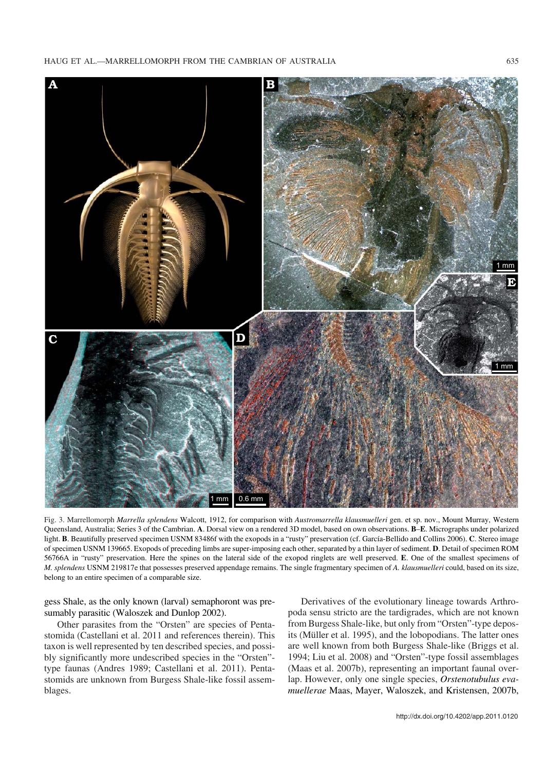HAUG ET AL.—MARRELLOMORPH FROM THE CAMBRIAN OF AUSTRALIA 635



Fig. 3. Marrellomorph *Marrella splendens* Walcott, 1912, for comparison with *Austromarrella klausmuelleri* gen. et sp. nov., Mount Murray, Western Queensland, Australia; Series 3 of the Cambrian. **A**. Dorsal view on a rendered 3D model, based on own observations. **B**–**E**. Micrographs under polarized light. **B**. Beautifully preserved specimen USNM 83486f with the exopods in a "rusty" preservation (cf. García−Bellido and Collins 2006). **C**. Stereo image of specimen USNM 139665. Exopods of preceding limbs are super−imposing each other, separated by a thin layer of sediment. **D**. Detail of specimen ROM 56766A in "rusty" preservation. Here the spines on the lateral side of the exopod ringlets are well preserved. **E**. One of the smallest specimens of *M. splendens* USNM 219817e that possesses preserved appendage remains. The single fragmentary specimen of *A. klausmuelleri* could, based on its size, belong to an entire specimen of a comparable size.

gess Shale, as the only known (larval) semaphoront was pre− sumably parasitic (Waloszek and Dunlop 2002).

Other parasites from the "Orsten" are species of Penta− stomida (Castellani et al. 2011 and references therein). This taxon is well represented by ten described species, and possi− bly significantly more undescribed species in the "Orsten"− type faunas (Andres 1989; Castellani et al. 2011). Penta− stomids are unknown from Burgess Shale−like fossil assem− blages.

Derivatives of the evolutionary lineage towards Arthro− poda sensu stricto are the tardigrades, which are not known from Burgess Shale−like, but only from "Orsten"−type depos− its (Müller et al. 1995), and the lobopodians. The latter ones are well known from both Burgess Shale−like (Briggs et al. 1994; Liu et al. 2008) and "Orsten"−type fossil assemblages (Maas et al. 2007b), representing an important faunal over− lap. However, only one single species, *Orstenotubulus eva− muellerae* Maas, Mayer, Waloszek, and Kristensen, 2007b,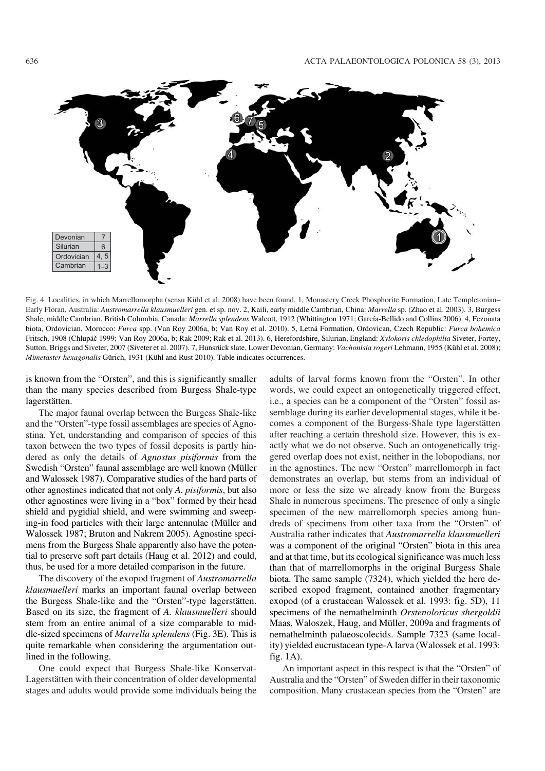

Fig. 4. Localities, in which Marrellomorpha (sensu Kühl et al. 2008) have been found. 1, Monastery Creek Phosphorite Formation, Late Templetonian– Early Floran, Australia: *Austromarrella klausmuelleri* gen. et sp. nov. 2, Kaili, early middle Cambrian, China: *Marrella* sp. (Zhao et al. 2003). 3, Burgess Shale, middle Cambrian, British Columbia, Canada: *Marrella splendens* Walcott, 1912 (Whittington 1971; García−Bellido and Collins 2006). 4, Fezouata biota, Ordovician, Morocco: *Furca* spp. (Van Roy 2006a, b; Van Roy et al. 2010). 5, Letná Formation, Ordovican, Czech Republic: *Furca bohemica* Fritsch, 1908 (Chlupáč 1999; Van Roy 2006a, b; Rak 2009; Rak et al. 2013). 6, Herefordshire, Silurian, England: *Xylokoris chledophilia* Siveter, Fortey, Sutton, Briggs and Siveter, 2007 (Siveter et al. 2007). 7, Hunsrück slate, Lower Devonian, Germany: *Vachonisia rogeri* Lehmann, 1955 (Kühl et al. 2008); *Mimetaster hexagonalis* Gürich, 1931 (Kühl and Rust 2010). Table indicates occurrences.

is known from the "Orsten", and this is significantly smaller than the many species described from Burgess Shale−type lagerstätten.

The major faunal overlap between the Burgess Shale−like and the "Orsten"−type fossil assemblages are species of Agno− stina. Yet, understanding and comparison of species of this taxon between the two types of fossil deposits is partly hin− dered as only the details of *Agnostus pisiformis* from the Swedish "Orsten" faunal assemblage are well known (Müller and Walossek 1987). Comparative studies of the hard parts of other agnostines indicated that not only *A. pisiformis*, but also other agnostines were living in a "box" formed by their head shield and pygidial shield, and were swimming and sweep− ing−in food particles with their large antennulae (Müller and Walossek 1987; Bruton and Nakrem 2005). Agnostine speci− mens from the Burgess Shale apparently also have the poten− tial to preserve soft part details (Haug et al. 2012) and could, thus, be used for a more detailed comparison in the future.

The discovery of the exopod fragment of *Austromarrella klausmuelleri* marks an important faunal overlap between the Burgess Shale−like and the "Orsten"−type lagerstätten. Based on its size, the fragment of *A. klausmuelleri* should stem from an entire animal of a size comparable to mid− dle−sized specimens of *Marrella splendens* (Fig. 3E). This is quite remarkable when considering the argumentation out− lined in the following.

One could expect that Burgess Shale−like Konservat− Lagerstätten with their concentration of older developmental stages and adults would provide some individuals being the adults of larval forms known from the "Orsten". In other words, we could expect an ontogenetically triggered effect, i.e., a species can be a component of the "Orsten" fossil as− semblage during its earlier developmental stages, while it be− comes a component of the Burgess−Shale type lagerstätten after reaching a certain threshold size. However, this is ex− actly what we do not observe. Such an ontogenetically trig− gered overlap does not exist, neither in the lobopodians, nor in the agnostines. The new "Orsten" marrellomorph in fact demonstrates an overlap, but stems from an individual of more or less the size we already know from the Burgess Shale in numerous specimens. The presence of only a single specimen of the new marrellomorph species among hun− dreds of specimens from other taxa from the "Orsten" of Australia rather indicates that *Austromarrella klausmuelleri* was a component of the original "Orsten" biota in this area and at that time, but its ecological significance was much less than that of marrellomorphs in the original Burgess Shale biota. The same sample (7324), which yielded the here de− scribed exopod fragment, contained another fragmentary exopod (of a crustacean Walossek et al. 1993: fig. 5D), 11 specimens of the nemathelminth *Orstenoloricus shergoldii* Maas, Waloszek, Haug, and Müller, 2009a and fragments of nemathelminth palaeoscolecids. Sample 7323 (same local− ity) yielded eucrustacean type−A larva (Walossek et al. 1993: fig. 1A).

An important aspect in this respect is that the "Orsten" of Australia and the "Orsten" of Sweden differ in their taxonomic composition. Many crustacean species from the "Orsten" are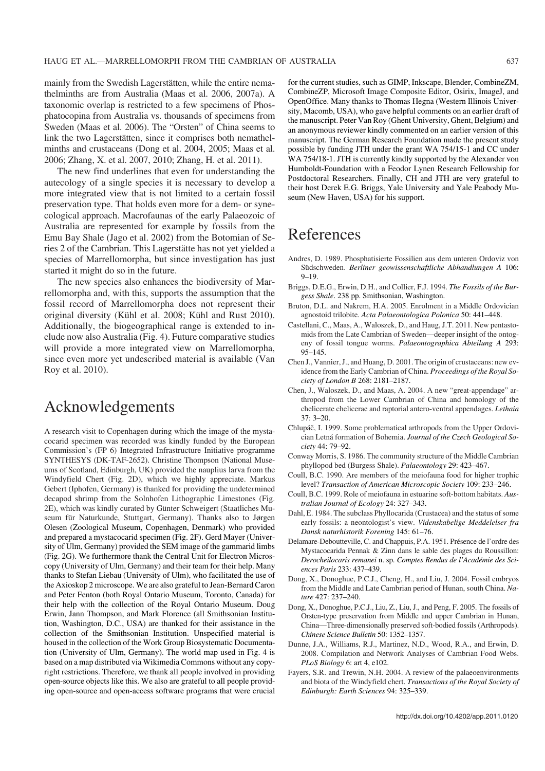mainly from the Swedish Lagerstätten, while the entire nema− thelminths are from Australia (Maas et al. 2006, 2007a). A taxonomic overlap is restricted to a few specimens of Phos− phatocopina from Australia vs. thousands of specimens from Sweden (Maas et al. 2006). The "Orsten" of China seems to link the two Lagerstätten, since it comprises both nemathel− minths and crustaceans (Dong et al. 2004, 2005; Maas et al. 2006; Zhang, X. et al. 2007, 2010; Zhang, H. et al. 2011).

The new find underlines that even for understanding the autecology of a single species it is necessary to develop a more integrated view that is not limited to a certain fossil preservation type. That holds even more for a dem− or syne− cological approach. Macrofaunas of the early Palaeozoic of Australia are represented for example by fossils from the Emu Bay Shale (Jago et al. 2002) from the Botomian of Se− ries 2 of the Cambrian. This Lagerstätte has not yet yielded a species of Marrellomorpha, but since investigation has just started it might do so in the future.

The new species also enhances the biodiversity of Mar− rellomorpha and, with this, supports the assumption that the fossil record of Marrellomorpha does not represent their original diversity (Kühl et al. 2008; Kühl and Rust 2010). Additionally, the biogeographical range is extended to in− clude now also Australia (Fig. 4). Future comparative studies will provide a more integrated view on Marrellomorpha, since even more yet undescribed material is available (Van Roy et al. 2010).

### Acknowledgements

A research visit to Copenhagen during which the image of the mysta− cocarid specimen was recorded was kindly funded by the European Commission's (FP 6) Integrated Infrastructure Initiative programme SYNTHESYS (DK−TAF−2652). Christine Thompson (National Muse− ums of Scotland, Edinburgh, UK) provided the nauplius larva from the Windyfield Chert (Fig. 2D), which we highly appreciate. Markus Gebert (Iphofen, Germany) is thanked for providing the undetermined decapod shrimp from the Solnhofen Lithographic Limestones (Fig. 2E), which was kindly curated by Günter Schweigert (Staatliches Mu− seum für Naturkunde, Stuttgart, Germany). Thanks also to Jørgen Olesen (Zoological Museum, Copenhagen, Denmark) who provided and prepared a mystacocarid specimen (Fig. 2F). Gerd Mayer (Univer− sity of Ulm, Germany) provided the SEM image of the gammarid limbs (Fig. 2G). We furthermore thank the Central Unit for Electron Micros− copy (University of Ulm, Germany) and their team for their help. Many thanks to Stefan Liebau (University of Ulm), who facilitated the use of the Axioskop 2 microscope. We are also grateful to Jean−Bernard Caron and Peter Fenton (both Royal Ontario Museum, Toronto, Canada) for their help with the collection of the Royal Ontario Museum. Doug Erwin, Jann Thompson, and Mark Florence (all Smithsonian Institu− tion, Washington, D.C., USA) are thanked for their assistance in the collection of the Smithsonian Institution. Unspecified material is housed in the collection of the Work Group Biosystematic Documenta− tion (University of Ulm, Germany). The world map used in Fig. 4 is based on a map distributed via Wikimedia Commons without any copy− right restrictions. Therefore, we thank all people involved in providing open−source objects like this. We also are grateful to all people provid− ing open−source and open−access software programs that were crucial for the current studies, such as GIMP, Inkscape, Blender, CombineZM, CombineZP, Microsoft Image Composite Editor, Osirix, ImageJ, and OpenOffice. Many thanks to Thomas Hegna (Western Illinois Univer− sity, Macomb, USA), who gave helpful comments on an earlier draft of the manuscript. Peter Van Roy (Ghent University, Ghent, Belgium) and an anonymous reviewer kindly commented on an earlier version of this manuscript. The German Research Foundation made the present study possible by funding JTH under the grant WA 754/15−1 and CC under WA 754/18−1. JTH is currently kindly supported by the Alexander von Humboldt−Foundation with a Feodor Lynen Research Fellowship for Postdoctoral Researchers. Finally, CH and JTH are very grateful to their host Derek E.G. Briggs, Yale University and Yale Peabody Mu− seum (New Haven, USA) for his support.

# References

- Andres, D. 1989. Phosphatisierte Fossilien aus dem unteren Ordoviz von Südschweden. *Berliner geowissenschaftliche Abhandlungen A* 106: 9–19.
- Briggs, D.E.G., Erwin, D.H., and Collier, F.J. 1994. *The Fossils of the Bur− gess Shale*. 238 pp. Smithsonian, Washington.
- Bruton, D.L. and Nakrem, H.A. 2005. Enrolment in a Middle Ordovician agnostoid trilobite. *Acta Palaeontologica Polonica* 50: 441–448.
- Castellani, C., Maas, A., Waloszek, D., and Haug, J.T. 2011. New pentasto− mids from the Late Cambrian of Sweden—deeper insight of the ontog− eny of fossil tongue worms. *Palaeontographica Abteilung A* 293: 95–145.
- [Chen J., Vannier, J., and Huang, D. 2001. The origin of crustaceans: new ev−](http://dx.doi.org/10.1098/rspb.2001.1779) idence from the Early Cambrian of China. *Proceedings of the Royal So− ciety of London B* 268: 2181–2187.
- Chen, J., Waloszek, D., and Maas, A. 2004. A new "great−appendage" ar− thropod from the Lower Cambrian of China and homology of the chelicerate chelicerae and raptorial antero−ventral appendages. *Lethaia* 37: 3–20.
- Chlupáč, I. 1999. Some problematical arthropods from the Upper Ordovi− cian Letná formation of Bohemia. *Journal of the Czech Geological So− ciety* 44: 79–92.
- Conway Morris, S. 1986. The community structure of the Middle Cambrian phyllopod bed (Burgess Shale). *Palaeontology* 29: 423–467.
- [Coull, B.C. 1990. Are members of the meiofauna food for higher trophic](http://dx.doi.org/10.2307/3226794) level? *Transaction of American Microscopic Society* 109: 233–246.
- [Coull, B.C. 1999. Role of meiofauna in estuarine soft−bottom habitats.](http://dx.doi.org/10.1046/j.1442-9993.1999.00979.x) *Aus− tralian Journal of Ecology* 24: 327–343.
- Dahl, E. 1984. The subclass Phyllocarida (Crustacea) and the status of some early fossils: a neontologist's view. *Videnskabelige Meddelelser fra Dansk naturhistorik Forening* 145: 61–76.
- Delamare−Deboutteville, C. and Chappuis, P.A. 1951. Présence de l'ordre des Mystacocarida Pennak & Zinn dans le sable des plages du Roussillon: *Derocheilocaris remanei* n. sp. *Comptes Rendus de l'Académie des Sci− ences Paris* 233: 437–439.
- [Dong, X., Donoghue, P.C.J., Cheng, H., and Liu, J. 2004. Fossil embryos](http://dx.doi.org/10.1038/nature02215) from the Middle and Late Cambrian period of Hunan, south China. *Na− ture* 427: 237–240.
- [Dong, X., Donoghue, P.C.J., Liu, Z., Liu, J., and Peng, F. 2005. The fossils of](http://dx.doi.org/10.1360/982005-795) Orsten−type preservation from Middle and upper Cambrian in Hunan, China—Three−dimensionally preserved soft−bodied fossils (Arthropods). *Chinese Science Bulletin* 50: 1352–1357.
- Dunne, J.A., Williams, R.J., Martinez, N.D., Wood, R.A., and Erwin, D. 2008. Compilation and Network Analyses of Cambrian Food Webs. *PLoS Biology* 6: art 4, e102.
- Fayers, S.R. and Trewin, N.H. 2004. A review of the palaeoenvironments and biota of the Windyfield chert. *Transactions of the Royal Society of Edinburgh: Earth Sciences* 94: 325–339.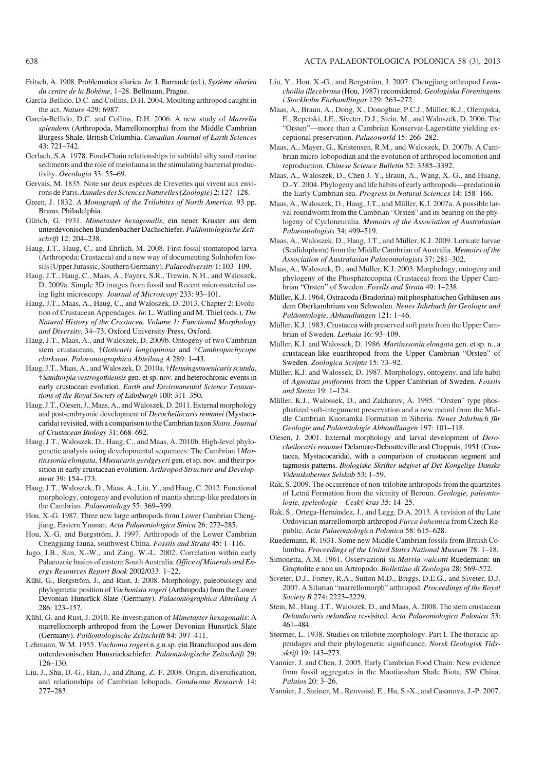- Fritsch, A. 1908. Problematica silurica. *In*: J. Barrande (ed.), *Système silurien du centre de la Bohême*, 1–28. Bellmann, Prague.
- García−Bellido, D.C. and Collins, D.H. 2004. Moulting arthropod caught in the act. *Nature* 429: 6987.
- [García−Bellido, D.C. and Collins, D.H. 2006. A new study of](http://dx.doi.org/10.1139/e06-012) *Marrella splendens* (Arthropoda, Marrellomorpha) from the Middle Cambrian Burgess Shale, British Columbia. *Canadian Journal of Earth Sciences* 43: 721–742.
- [Gerlach, S.A. 1978. Food−Chain relationships in subtidal silty sand marine](http://dx.doi.org/10.1007/BF00376996) sediments and the role of meiofauna in the stimulating bacterial produc− tivity. *Oecologia* 33: 55–69.
- Gervais, M. 1835. Note sur deux espèces de Crevettes qui vivent aux envi− rons de Paris.*Annales des Sciences Naturelles (Zoologie)* 2: 127–128.
- Green, J. 1832. *A Monograph of the Trilobites of North America.* 93 pp. Brano, Philadelphia.
- Gürich, G. 1931. *Mimetaster hexagonalis*, ein neuer Kruster aus dem unterdevonischen Bundenbacher Dachschiefer. *Paläontologische Zeit− schrift* 12: 204–238.
- Haug, J.T., Haug, C., and Ehrlich, M. 2008. First fossil stomatopod larva (Arthropoda: Crustacea) and a new way of documenting Solnhofen fos− sils (Upper Jurassic, Southern Germany). *Palaeodiversity* 1: 103–109.
- [Haug, J.T., Haug, C., Maas, A., Fayers, S.R., Trewin, N.H., and Waloszek,](http://dx.doi.org/10.1111/j.1365-2818.2008.03100.x) D. 2009a. Simple 3D images from fossil and Recent micromaterial us− ing light microscopy. *Journal of Microscopy* 233: 93–101.
- Haug, J.T., Maas, A., Haug, C., and Waloszek, D. 2013. Chapter 2: Evolu− tion of Crustacean Appendages. *In*: L. Watling and M. Thiel (eds.), *The Natural History of the Crustacea. Volume 1: Functional Morphology and Diversity*, 34–73, Oxford University Press, Oxford.
- Haug, J.T., Maas, A., and Waloszek, D. 2009b. Ontogeny of two Cambrian stem crustaceans, †*Goticaris longispinosa* and †*Cambropachycope clarksoni*. *Palaeontographica Abteilung A* 289: 1–43.
- [Haug, J.T., Maas, A., and Waloszek, D. 2010a. †](http://dx.doi.org/10.1017/S1755691010008145)*Henningsmoenicaris scutula*, †*Sandtorpia vestrogothiensis* gen. et sp. nov. and heterochronic events in early crustacean evolution. *Earth and Environmental Science Transac− tions of the Royal Society of Edinburgh* 100: 311–350.
- [Haug, J.T., Olesen, J., Maas, A., and Waloszek, D. 2011. External morphology](http://dx.doi.org/10.1651/11-3481.1) and post−embryonic development of *Derocheilocaris remanei* (Mystaco− carida) revisited, with a comparison to the Cambrian taxon *Skara*. *Journal of Crustacean Biology* 31: 668–692.
- [Haug, J.T., Waloszek, D., Haug, C., and Maas, A. 2010b. High−level phylo−](http://dx.doi.org/10.1016/j.asd.2010.01.005) genetic analysis using developmental sequences: The Cambrian †*Mar− tinssonia elongata*, †*Musacaris gerdgeyeri* gen. et sp. nov. and their po− sition in early crustacean evolution. *Arthropod Structure and Develop− ment* 39: 154–173.
- Haug, J.T., Waloszek, D., Maas, A., Liu, Y., and Haug, C. 2012. Functional morphology, ontogeny and evolution of mantis shrimp−like predators in the Cambrian. *Palaeontology* 55: 369–399.
- Hou, X.−G. 1987. Three new large arthropods from Lower Cambrian Cheng− jiang, Eastern Yunnan. *Acta Palaeontologica Sinica* 26: 272–285.
- Hou, X.−G. and Bergström, J. 1997. Arthropods of the Lower Cambrian Chengjiang fauna, southwest China. *Fossils and Strata* 45: 1–116.
- Jago, J.B., Sun, X.−W., and Zang, W.−L. 2002. Correlation within early Palaeozoic basins of eastern South Australia. *Office of Minerals and En− ergy Resources Report Book* 2002/033: 1–22.
- Kühl, G., Bergström, J., and Rust, J. 2008. Morphology, paleobiology and phylogenetic position of *Vachonisia rogeri* (Arthropoda) from the Lower Devonian Hunsrück Slate (Germany). *Palaeontographica Abteilung A* 286: 123–157.
- Kühl, G. and Rust, J. 2010. Re−investigation of *Mimetaster hexagonalis*: A marrellomorph arthropod from the Lower Devonian Hunsrück Slate (Germany). *Paläontologische Zeitschrift* 84: 397–411.
- Lehmann, W.M. 1955. *Vachonia rogeri* n.g.n.sp. ein Branchiopod aus dem unterdevonischen Hunsrückschiefer. *Paläontologische Zeitschrift* 29: 126–130.
- [Liu, J., Shu, D.−G., Han, J., and Zhang, Z.−F. 2008. Origin, diversification,](http://dx.doi.org/10.1016/j.gr.2007.10.001) and relationships of Cambrian lobopods. *Gondwana Research* 14: 277–283.
- Liu, Y., Hou, X.−G., and Bergström, J. 2007. Chengjiang arthropod *Lean− choilia illecebrosa* (Hou, 1987) reconsidered. *Geologiska Föreningens i Stockholm Förhandlingar* 129: 263–272.
- [Maas, A., Braun, A., Dong, X., Donoghue, P.C.J., Müller, K.J., Olempska,](http://dx.doi.org/10.1016/j.palwor.2006.10.005) E., Repetski, J.E., Siveter, D.J., Stein, M., and Waloszek, D. 2006. The "Orsten"—more than a Cambrian Konservat−Lagerstätte yielding ex− ceptional preservation. *Palaeoworld* 15: 266–282.
- [Maas, A., Mayer, G., Kristensen, R.M., and Waloszek, D. 2007b. A Cam−](http://dx.doi.org/10.1007/s11434-007-0515-3) brian micro−lobopodian and the evolution of arthropod locomotion and reproduction. *Chinese Science Bulletin* 52: 3385–3392.
- [Maas, A., Waloszek, D., Chen J.−Y., Braun, A., Wang, X.−G., and Huang,](http://dx.doi.org/10.1080/10020070412331343301) D.−Y. 2004. Phylogeny and life habits of early arthropods—predation in the Early Cambrian sea. *Progress in Natural Sciences* 14: 158–166.
- Maas, A., Waloszek, D., Haug, J.T., and Müller, K.J. 2007a. A possible lar− val roundworm from the Cambrian "Orsten" and its bearing on the phy− logeny of Cycloneuralia. *Memoirs of the Association of Australasian Palaeontologists* 34: 499–519.
- Maas, A., Waloszek, D., Haug, J.T., and Müller, K.J. 2009. Loricate larvae (Scalidophora) from the Middle Cambrian of Australia. *Memoirs of the Association of Australasian Palaeontologists* 37: 281–302.
- Maas, A., Waloszek, D., and Müller, K.J. 2003. Morphology, ontogeny and phylogeny of the Phosphatocopina (Crustacea) from the Upper Cam− brian "Orsten" of Sweden. *Fossils and Strata* 49: 1–238.
- Müller, K.J. 1964. Ostracoda (Bradorina) mit phosphatischen Gehäusen aus dem Oberkambrium von Schweden. *Neues Jahrbuch für Geologie und Paläontologie, Abhandlungen* 121: 1–46.
- [Müller, K.J. 1983. Crustacea with preserved soft parts from the Upper Cam−](http://dx.doi.org/10.1111/j.1502-3931.1983.tb01704.x) brian of Sweden. *Lethaia* 16: 93–109.
- Müller, K.J. and Walossek, D. 1986. *Martinssonia elongata* gen. et sp. n., a crustacean−like euarthropod from the Upper Cambrian "Orsten" of Sweden. *Zoologica Scripta* 15: 73–92.
- Müller, K.J. and Walossek, D. 1987. Morphology, ontogeny, and life habit of *Agnostus pisiformis* from the Upper Cambrian of Sweden. *Fossils and Strata* 19: 1–124.
- Müller, K.J., Walossek, D., and Zakharov, A. 1995. "Orsten" type phos− phatized soft−integument preservation and a new record from the Mid− dle Cambrian Kuonamka Formation in Siberia. *Neues Jahrbuch für Geologie und Paläontologie Abhandlungen* 197: 101–118.
- Olesen, J. 2001. External morphology and larval development of *Dero− cheilocaris remanei* Delamare−Deboutteville and Chappuis, 1951 (Crus− tacea, Mystacocarida), with a comparison of crustacean segment and tagmosis patterns. *Biologiske Skrifter udgivet af Det Kongelige Danske Videnskabernes Selskab* 53: 1–59.
- Rak, S. 2009. The occurrence of non−trilobite arthropods from the quartzites of Letná Formation from the vicinity of Beroun. *Geologie, paleonto− logie, speleologie – Ceský kras* 35: 14–25.
- Rak, S., Ortega−Hernández, J., and Legg, D.A. 2013. A revision of the Late Ordovician marrellomorph arthropod *Furca bohemica* from Czech Re− public. *Acta Palaeontologica Polonica* 58: 615–628.
- [Ruedemann, R. 1931. Some new Middle Cambrian fossils from British Co−](http://dx.doi.org/10.5479/si.00963801.79-2893.1) lumbia. *Proceedings of the United States National Museum* 78: 1–18.
- [Simonetta, A.M. 1961. Osservazioni su](http://dx.doi.org/10.1080/11250006109436440) *Marria walcotti* Ruedemann: un Graptolite e non un Artropodo. *Bollettino di Zoologia* 28: 569–572.
- [Siveter, D.J., Fortey, R.A., Sutton M.D., Briggs, D.E.G., and Siveter, D.J.](http://dx.doi.org/10.1098/rspb.2007.0712) 2007. A Silurian "marrellomorph" arthropod. *Proceedings of the Royal Society B* 274: 2223–2229.
- [Stein, M., Haug. J.T., Waloszek, D., and Maas, A. 2008. The stem crustacean](http://dx.doi.org/10.4202/app.2008.0308) *Oelandocaris oelandica* re−visited. *Acta Palaeontologica Polonica* 53: 461–484.
- Størmer, L. 1938. Studies on trilobite morphology. Part I. The thoracic ap− pendages and their phylogenetic significance. *Norsk Geologisk Tids− skrift* 19: 143–273.
- [Vannier, J. and Chen, J. 2005. Early Cambrian Food Chain: New evidence](http://dx.doi.org/10.2110/palo.2003.p03-40) from fossil aggregates in the Maotianshan Shale Biota, SW China. *Palaios* 20: 3–26.
- [Vannier, J., Steiner, M., Renvoisé, E., Hu, S.−X., and Casanova, J.−P. 2007.](http://dx.doi.org/10.1098/rspb.2006.3761)